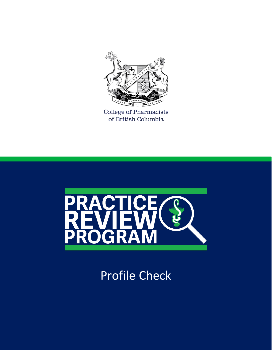

College of Pharmacists<br>of British Columbia



Profile Check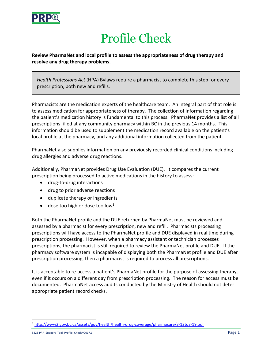

## Profile Check

**Review PharmaNet and local profile to assess the appropriateness of drug therapy and resolve any drug therapy problems.**

*Health Professions Act* (HPA) Bylaws require a pharmacist to complete this step for every prescription, both new and refills.

Pharmacists are the medication experts of the healthcare team. An integral part of that role is to assess medication for appropriateness of therapy. The collection of information regarding the patient's medication history is fundamental to this process. PharmaNet provides a list of all prescriptions filled at any community pharmacy within BC in the previous 14 months. This information should be used to supplement the medication record available on the patient's local profile at the pharmacy, and any additional information collected from the patient.

PharmaNet also supplies information on any previously recorded clinical conditions including drug allergies and adverse drug reactions.

Additionally, PharmaNet provides Drug Use Evaluation (DUE). It compares the current prescription being processed to active medications in the history to assess:

- drug-to-drug interactions
- drug to prior adverse reactions
- duplicate therapy or ingredients
- $\bullet$  dose too high or dose too low<sup>1</sup>

Both the PharmaNet profile and the DUE returned by PharmaNet must be reviewed and assessed by a pharmacist for every prescription, new and refill. Pharmacists processing prescriptions will have access to the PharmaNet profile and DUE displayed in real time during prescription processing. However, when a pharmacy assistant or technician processes prescriptions, the pharmacist is still required to review the PharmaNet profile and DUE. If the pharmacy software system is incapable of displaying both the PharmaNet profile and DUE after prescription processing, then a pharmacist is required to process all prescriptions.

It is acceptable to re-access a patient's PharmaNet profile for the purpose of assessing therapy, even if it occurs on a different day from prescription processing. The reason for access must be documented. PharmaNet access audits conducted by the Ministry of Health should not deter appropriate patient record checks.

 $\overline{a}$ <sup>1</sup> <http://www2.gov.bc.ca/assets/gov/health/health-drug-coverage/pharmacare/3-12to3-19.pdf>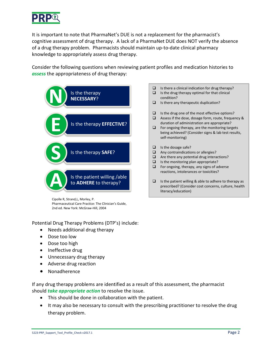

It is important to note that PharmaNet's DUE is not a replacement for the pharmacist's cognitive assessment of drug therapy. A lack of a PharmaNet DUE does NOT verify the absence of a drug therapy problem. Pharmacists should maintain up-to-date clinical pharmacy knowledge to appropriately assess drug therapy.

Consider the following questions when reviewing patient profiles and medication histories to *assess* the appropriateness of drug therapy:



Cipolle R, Strand,L, Morley, P. Pharmaceutical Care Practice: The Clinician's Guide, 2nd ed. New York: McGraw-Hill, 2004

Potential Drug Therapy Problems (DTP's) include:

- Needs additional drug therapy
- Dose too low
- Dose too high
- Ineffective drug
- Unnecessary drug therapy
- Adverse drug reaction
- Nonadherence

If any drug therapy problems are identified as a result of this assessment, the pharmacist should *take appropriate action* to resolve the issue.

- This should be done in collaboration with the patient.
- It may also be necessary to consult with the prescribing practitioner to resolve the drug therapy problem.
- $\Box$  Is there a clinical indication for drug therapy?  $\Box$  Is the drug therapy optimal for that clinical
- condition?
- $\Box$  Is there any therapeutic duplication?
- $\Box$  Is the drug one of the most effective options?
- Assess if the dose, dosage form, route, frequency & duration of administration are appropriate?
- $\Box$  For ongoing therapy, are the monitoring targets being achieved? (Consider signs & lab test results, self-monitoring)
- $\Box$  Is the dosage safe?
- $\Box$  Any contraindications or allergies?
- $\Box$  Are there any potential drug interactions?
- $\Box$  Is the monitoring plan appropriate?
- $\Box$  For ongoing, therapy, any signs of adverse reactions, intolerances or toxicities?
- $\Box$  Is the patient willing & able to adhere to therapy as prescribed? (Consider cost concerns, culture, health literacy/education)